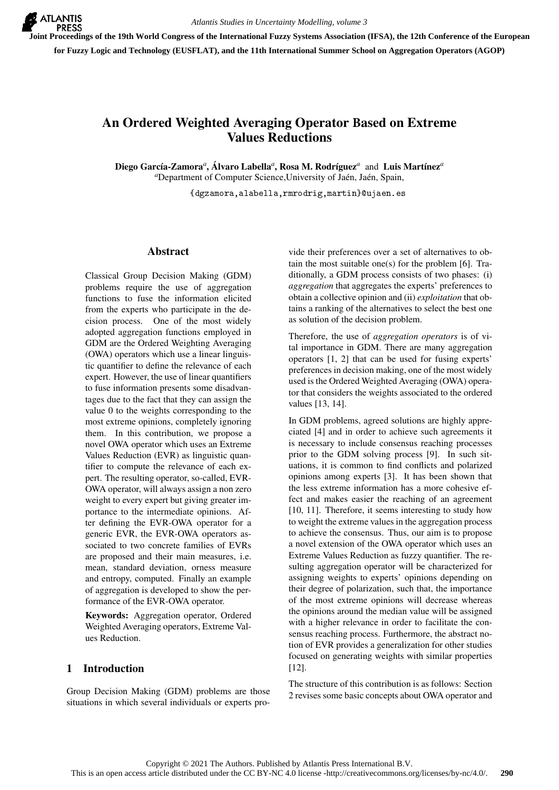

**Joint Proceedings of the 19th World Congress of the International Fuzzy Systems Association (IFSA), the 12th Conference of the European for Fuzzy Logic and Technology (EUSFLAT), and the 11th International Summer School on Aggregation Operators (AGOP)**

# An Ordered Weighted Averaging Operator **B**ased on Extreme Values Reductions

Diego García-Zamora*<sup>a</sup>* , Álvaro Labella*<sup>a</sup>* , Rosa M. Rodríguez*<sup>a</sup>* and Luis Martínez*<sup>a</sup>*

*<sup>a</sup>*Department of Computer Science,University of Jaén, Jaén, Spain,

{dgzamora,alabella,rmrodrig,martin}@ujaen.es

### Abstract

Classical Group Decision Making (GDM) problems require the use of aggregation functions to fuse the information elicited from the experts who participate in the decision process. One of the most widely adopted aggregation functions employed in GDM are the Ordered Weighting Averaging (OWA) operators which use a linear linguistic quantifier to define the relevance of each expert. However, the use of linear quantifiers to fuse information presents some disadvantages due to the fact that they can assign the value 0 to the weights corresponding to the most extreme opinions, completely ignoring them. In this contribution, we propose a novel OWA operator which uses an Extreme Values Reduction (EVR) as linguistic quantifier to compute the relevance of each expert. The resulting operator, so-called, EVR-OWA operator, will always assign a non zero weight to every expert but giving greater importance to the intermediate opinions. After defining the EVR-OWA operator for a generic EVR, the EVR-OWA operators associated to two concrete families of EVRs are proposed and their main measures, i.e. mean, standard deviation, orness measure and entropy, computed. Finally an example of aggregation is developed to show the performance of the EVR-OWA operator.

Keywords: Aggregation operator, Ordered Weighted Averaging operators, Extreme Values Reduction.

# 1 Introduction

Group Decision Making (GDM) problems are those situations in which several individuals or experts provide their preferences over a set of alternatives to obtain the most suitable one(s) for the problem [6]. Traditionally, a GDM process consists of two phases: (i) *aggregation* that aggregates the experts' preferences to obtain a collective opinion and (ii) *exploitation* that obtains a ranking of the alternatives to select the best one as solution of the decision problem.

Therefore, the use of *aggregation operators* is of vital importance in GDM. There are many aggregation operators [1, 2] that can be used for fusing experts' preferences in decision making, one of the most widely used is the Ordered Weighted Averaging (OWA) operator that considers the weights associated to the ordered values [13, 14].

In GDM problems, agreed solutions are highly appreciated [4] and in order to achieve such agreements it is necessary to include consensus reaching processes prior to the GDM solving process [9]. In such situations, it is common to find conflicts and polarized opinions among experts [3]. It has been shown that the less extreme information has a more cohesive effect and makes easier the reaching of an agreement [10, 11]. Therefore, it seems interesting to study how to weight the extreme values in the aggregation process to achieve the consensus. Thus, our aim is to propose a novel extension of the OWA operator which uses an Extreme Values Reduction as fuzzy quantifier. The resulting aggregation operator will be characterized for assigning weights to experts' opinions depending on their degree of polarization, such that, the importance of the most extreme opinions will decrease whereas the opinions around the median value will be assigned with a higher relevance in order to facilitate the consensus reaching process. Furthermore, the abstract notion of EVR provides a generalization for other studies focused on generating weights with similar properties [12].

The structure of this contribution is as follows: Section 2 revises some basic concepts about OWA operator and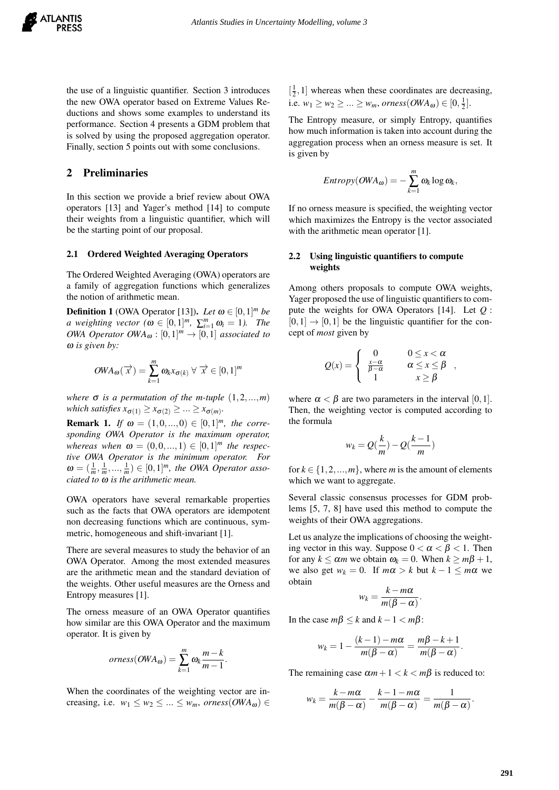the use of a linguistic quantifier. Section 3 introduces the new OWA operator based on Extreme Values Reductions and shows some examples to understand its performance. Section 4 presents a GDM problem that is solved by using the proposed aggregation operator. Finally, section 5 points out with some conclusions.

# 2 Preliminaries

In this section we provide a brief review about OWA operators [13] and Yager's method [14] to compute their weights from a linguistic quantifier, which will be the starting point of our proposal.

#### 2.1 Ordered Weighted Averaging Operators

The Ordered Weighted Averaging (OWA) operators are a family of aggregation functions which generalizes the notion of arithmetic mean.

**Definition 1** (OWA Operator [13]). *Let*  $\omega \in [0,1]^m$  *be a* weighting vector ( $\omega \in [0,1]^m$ ,  $\sum_{i=1}^m \omega_i = 1$ ). The *OWA Operator OWA*<sub> $\omega$ </sub>:  $[0,1]^{m} \rightarrow [0,1]$  *associated to* ω *is given by:*

$$
OWA_{\omega}(\overrightarrow{x}) = \sum_{k=1}^{m} \omega_{k}x_{\sigma(k)} \ \forall \ \overrightarrow{x} \in [0,1]^{m}
$$

*where*  $\sigma$  *is a permutation of the m-tuple*  $(1, 2, \ldots, m)$ *which satisfies*  $x_{\sigma(1)} \geq x_{\sigma(2)} \geq ... \geq x_{\sigma(m)}$ *.* 

**Remark 1.** If  $\omega = (1, 0, \ldots, 0) \in [0, 1]^m$ , the corre*sponding OWA Operator is the maximum operator, whereas when*  $\omega = (0, 0, ..., 1) \in [0, 1]^m$  *the respective OWA Operator is the minimum operator. For*  $\omega = (\frac{1}{m}, \frac{1}{m}, ..., \frac{1}{m}) \in [0, 1]^m$ , the OWA Operator asso*ciated to* ω *is the arithmetic mean.*

OWA operators have several remarkable properties such as the facts that OWA operators are idempotent non decreasing functions which are continuous, symmetric, homogeneous and shift-invariant [1].

There are several measures to study the behavior of an OWA Operator. Among the most extended measures are the arithmetic mean and the standard deviation of the weights. Other useful measures are the Orness and Entropy measures [1].

The orness measure of an OWA Operator quantifies how similar are this OWA Operator and the maximum operator. It is given by

$$
orness(OWA_{\omega}) = \sum_{k=1}^{m} \omega_k \frac{m-k}{m-1}.
$$

When the coordinates of the weighting vector are increasing, i.e.  $w_1 \leq w_2 \leq ... \leq w_m$ , *orness*(*OWA*<sub>ω</sub>)  $\in$ 

 $\left[\frac{1}{2},1\right]$  whereas when these coordinates are decreasing, i.e. *w*<sub>1</sub> ≥ *w*<sub>2</sub> ≥ ... ≥ *w*<sub>*m*</sub>, *orness*( $OWA_{\omega}$ ) ∈ [0,  $\frac{1}{2}$ ].

The Entropy measure, or simply Entropy, quantifies how much information is taken into account during the aggregation process when an orness measure is set. It is given by

$$
Entropy(OWA_{\omega}) = -\sum_{k=1}^{m} \omega_k \log \omega_k,
$$

If no orness measure is specified, the weighting vector which maximizes the Entropy is the vector associated with the arithmetic mean operator [1].

### 2.2 Using linguistic quantifiers to compute weights

Among others proposals to compute OWA weights, Yager proposed the use of linguistic quantifiers to compute the weights for OWA Operators [14]. Let *Q* :  $[0,1] \rightarrow [0,1]$  be the linguistic quantifier for the concept of *most* given by

$$
Q(x) = \begin{cases} 0 & 0 \le x < \alpha \\ \frac{x-\alpha}{\beta-\alpha} & \alpha \le x \le \beta \\ 1 & x \ge \beta \end{cases}
$$

,

where  $\alpha < \beta$  are two parameters in the interval [0, 1]. Then, the weighting vector is computed according to the formula

$$
w_k = Q(\frac{k}{m}) - Q(\frac{k-1}{m})
$$

for  $k \in \{1, 2, ..., m\}$ , where *m* is the amount of elements which we want to aggregate.

Several classic consensus processes for GDM problems [5, 7, 8] have used this method to compute the weights of their OWA aggregations.

Let us analyze the implications of choosing the weighting vector in this way. Suppose  $0 < \alpha < \beta < 1$ . Then for any  $k \le \alpha m$  we obtain  $\omega_k = 0$ . When  $k \ge m\beta + 1$ , we also get  $w_k = 0$ . If  $m\alpha > k$  but  $k - 1 \le m\alpha$  we obtain

$$
w_k = \frac{k - m\alpha}{m(\beta - \alpha)}.
$$

In the case  $m\beta \leq k$  and  $k - 1 < m\beta$ :

$$
w_k = 1 - \frac{(k-1) - m\alpha}{m(\beta - \alpha)} = \frac{m\beta - k + 1}{m(\beta - \alpha)}.
$$

The remaining case  $\alpha m + 1 < k < m\beta$  is reduced to:

$$
w_k = \frac{k - m\alpha}{m(\beta - \alpha)} - \frac{k - 1 - m\alpha}{m(\beta - \alpha)} = \frac{1}{m(\beta - \alpha)}.
$$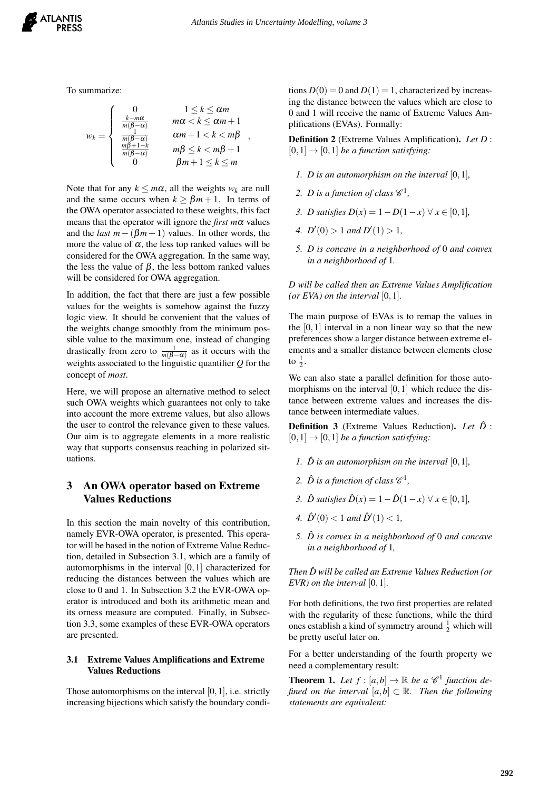To summarize:

$$
w_k = \begin{cases} 0 & 1 \leq k \leq \alpha m \\ \frac{k - m\alpha}{m(\beta - \alpha)} & m\alpha < k \leq \alpha m + 1 \\ \frac{m(\beta - \alpha)}{m(\beta - \alpha)} & \alpha m + 1 < k < m\beta \\ \frac{m\beta + 1 - k}{m(\beta - \alpha)} & m\beta \leq k < m\beta + 1 \\ 0 & \beta m + 1 \leq k \leq m \end{cases}
$$

Note that for any  $k \leq m\alpha$ , all the weights  $w_k$  are null and the same occurs when  $k \geq \beta m + 1$ . In terms of the OWA operator associated to these weights, this fact means that the operator will ignore the *first m*α values and the *last*  $m-(\beta m+1)$  values. In other words, the more the value of  $\alpha$ , the less top ranked values will be considered for the OWA aggregation. In the same way, the less the value of  $\beta$ , the less bottom ranked values will be considered for OWA aggregation.

In addition, the fact that there are just a few possible values for the weights is somehow against the fuzzy logic view. It should be convenient that the values of the weights change smoothly from the minimum possible value to the maximum one, instead of changing drastically from zero to  $\frac{1}{m(\beta-\alpha)}$  as it occurs with the weights associated to the linguistic quantifier *Q* for the concept of *most*.

Here, we will propose an alternative method to select such OWA weights which guarantees not only to take into account the more extreme values, but also allows the user to control the relevance given to these values. Our aim is to aggregate elements in a more realistic way that supports consensus reaching in polarized situations.

# 3 An OWA operator based on Extreme Values Reductions

In this section the main novelty of this contribution, namely EVR-OWA operator, is presented. This operator will be based in the notion of Extreme Value Reduction, detailed in Subsection 3.1, which are a family of automorphisms in the interval [0,1] characterized for reducing the distances between the values which are close to 0 and 1. In Subsection 3.2 the EVR-OWA operator is introduced and both its arithmetic mean and its orness measure are computed. Finally, in Subsection 3.3, some examples of these EVR-OWA operators are presented.

#### 3.1 Extreme Values Amplifications and Extreme Values Reductions

Those automorphisms on the interval  $[0,1]$ , i.e. strictly increasing bijections which satisfy the boundary conditions  $D(0) = 0$  and  $D(1) = 1$ , characterized by increasing the distance between the values which are close to 0 and 1 will receive the name of Extreme Values Amplifications (EVAs). Formally:

Definition 2 (Extreme Values Amplification). *Let D* :  $[0,1] \rightarrow [0,1]$  *be a function satisfying:* 

- *1. D is an automorphism on the interval* [0,1]*,*
- 2. *D* is a function of class  $\mathscr{C}^1$ ,
- *3. D satisfies*  $D(x) = 1 D(1-x)$  ∀  $x \in [0,1]$ *,*
- *4.*  $D'(0) > 1$  *and*  $D'(1) > 1$ *,*
- *5. D is concave in a neighborhood of* 0 *and convex in a neighborhood of* 1*.*

*D will be called then an Extreme Values Amplification (or EVA) on the interval* [0,1]*.*

The main purpose of EVAs is to remap the values in the  $[0,1]$  interval in a non linear way so that the new preferences show a larger distance between extreme elements and a smaller distance between elements close to  $\frac{1}{2}$ .

We can also state a parallel definition for those automorphisms on the interval  $[0,1]$  which reduce the distance between extreme values and increases the distance between intermediate values.

Definition 3 (Extreme Values Reduction). *Let D*ˆ :  $[0,1] \rightarrow [0,1]$  *be a function satisfying:* 

- *1.*  $\hat{D}$  *is an automorphism on the interval* [0, 1]*,*
- 2.  $\hat{D}$  is a function of class  $\mathscr{C}^1$ ,
- *3.*  $\hat{D}$  *satisfies*  $\hat{D}(x) = 1 \hat{D}(1-x) \forall x \in [0,1]$ ,
- *4.*  $\hat{D}'(0) < 1$  and  $\hat{D}'(1) < 1$ ,
- *5.*  $\hat{D}$  *is convex in a neighborhood of* 0 *and concave in a neighborhood of* 1*,*

*Then D will be called an Extreme Values Reduction (or* ˆ *EVR) on the interval* [0,1]*.*

For both definitions, the two first properties are related with the regularity of these functions, while the third ones establish a kind of symmetry around  $\frac{1}{2}$  which will be pretty useful later on.

For a better understanding of the fourth property we need a complementary result:

**Theorem 1.** Let  $f$  :  $[a,b] \to \mathbb{R}$  be a  $\mathcal{C}^1$  function de*fined on the interval*  $[a,b] \subset \mathbb{R}$ *. Then the following statements are equivalent:*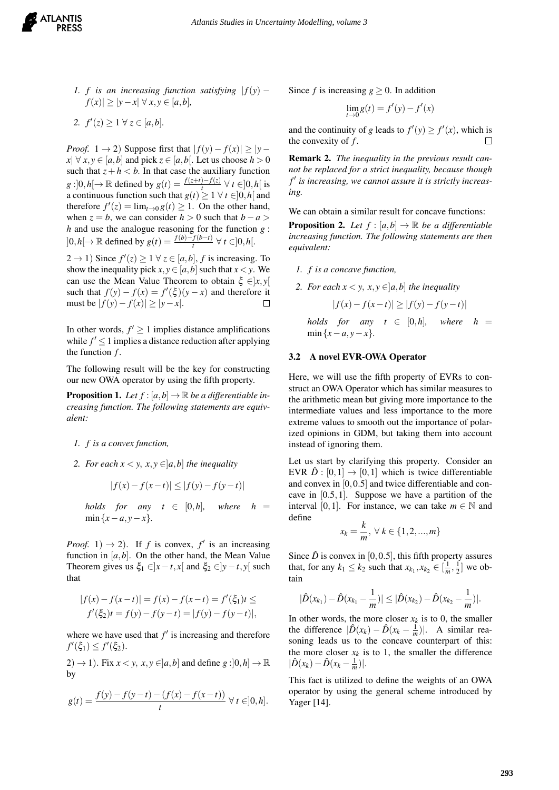

1. *f* is an increasing function satisfying 
$$
|f(y) - f(x)| \ge |y - x| \forall x, y \in [a, b]
$$
,

2. 
$$
f'(z) \geq 1 \ \forall \ z \in [a, b].
$$

*Proof.* 1  $\rightarrow$  2) Suppose first that  $|f(y) - f(x)| \ge |y - y|$  $x | \forall x, y \in [a, b]$  and pick  $z \in [a, b]$ . Let us choose  $h > 0$ such that  $z + h < b$ . In that case the auxiliary function *g* :]0,*h*[→ ℝ defined by  $g(t) = \frac{f(z+t) - f(z)}{t}$  ∀  $t \in ]0, h[$  is a continuous function such that  $g(t) \geq 1 \ \forall t \in ]0, h[$  and therefore  $f'(z) = \lim_{t \to 0} g(t) \ge 1$ . On the other hand, when  $z = b$ , we can consider  $h > 0$  such that  $b - a >$ *h* and use the analogue reasoning for the function *g* :  $]0,h[→ ℝ$  defined by  $g(t) = \frac{f(b)-f(b-t)}{t}$   $\forall t ∈ ]0,h[$ .

2 → 1) Since  $f'(z) \ge 1 \ \forall \ z \in [a, b], f$  is increasing. To show the inequality pick  $x, y \in [a, b]$  such that  $x \le y$ . We can use the Mean Value Theorem to obtain  $\xi \in ]x, y[$ such that  $f(y) - f(x) = f'(\xi)(y - x)$  and therefore it must be  $|f(y) - f(x)| \ge |y - x|$ .  $\Box$ 

In other words,  $f' \geq 1$  implies distance amplifications while  $f' \leq 1$  implies a distance reduction after applying the function *f* .

The following result will be the key for constructing our new OWA operator by using the fifth property.

**Proposition 1.** Let  $f : [a,b] \to \mathbb{R}$  be a differentiable in*creasing function. The following statements are equivalent:*

- *1. f is a convex function,*
- *2. For each*  $x < y$ ,  $x, y \in ]a,b]$  *the inequality*

$$
|f(x) - f(x - t)| \le |f(y) - f(y - t)|
$$

*holds* for any  $t \in [0,h]$ , where  $h =$  $\min \{x - a, y - x\}.$ 

*Proof.* 1)  $\rightarrow$  2). If *f* is convex, *f'* is an increasing function in  $[a, b]$ . On the other hand, the Mean Value Theorem gives us  $\xi_1 \in ]x - t, x[$  and  $\xi_2 \in ]y - t, y[$  such that

$$
|f(x) - f(x - t)| = f(x) - f(x - t) = f'(\xi_1)t \le
$$
  

$$
f'(\xi_2)t = f(y) - f(y - t) = |f(y) - f(y - t)|,
$$

where we have used that  $f'$  is increasing and therefore  $f'(\xi_1) \leq f'(\xi_2)$ .

 $(2) \rightarrow 1$ ). Fix  $x < y$ ,  $x, y \in ]a, b]$  and define  $g : ]0, h] \rightarrow \mathbb{R}$ by

$$
g(t) = \frac{f(y) - f(y - t) - (f(x) - f(x - t))}{t} \ \forall \ t \in ]0, h].
$$

Since *f* is increasing  $g \ge 0$ . In addition

$$
\lim_{t \to 0} g(t) = f'(y) - f'(x)
$$

and the continuity of *g* leads to  $f'(y) \ge f'(x)$ , which is the convexity of *f* .  $\Box$ 

Remark 2. *The inequality in the previous result cannot be replaced for a strict inequality, because though f* 0 *is increasing, we cannot assure it is strictly increasing.*

We can obtain a similar result for concave functions:

**Proposition 2.** Let  $f : [a,b] \to \mathbb{R}$  be a differentiable *increasing function. The following statements are then equivalent:*

- *1. f is a concave function,*
- *2. For each*  $x < y$ ,  $x, y \in ]a,b]$  *the inequality*

$$
|f(x) - f(x - t)| \ge |f(y) - f(y - t)|
$$

*holds* for any  $t \in [0,h]$ *, where h* = min{*x*−*a*, *y*−*x*}*.*

#### 3.2 A novel EVR-OWA Operator

Here, we will use the fifth property of EVRs to construct an OWA Operator which has similar measures to the arithmetic mean but giving more importance to the intermediate values and less importance to the more extreme values to smooth out the importance of polarized opinions in GDM, but taking them into account instead of ignoring them.

Let us start by clarifying this property. Consider an EVR  $\hat{D}$  :  $[0,1] \rightarrow [0,1]$  which is twice differentiable and convex in [0,0.5] and twice differentiable and concave in  $[0.5, 1]$ . Suppose we have a partition of the interval [0,1]. For instance, we can take  $m \in \mathbb{N}$  and define

$$
x_k = \frac{k}{m}, \ \forall \ k \in \{1, 2, ..., m\}
$$

Since  $\hat{D}$  is convex in [0,0.5], this fifth property assures that, for any  $k_1 \leq k_2$  such that  $x_{k_1}, x_{k_2} \in \left[\frac{1}{m}, \frac{1}{2}\right]$  we obtain

$$
|\hat{D}(x_{k_1})-\hat{D}(x_{k_1}-\frac{1}{m})|\leq |\hat{D}(x_{k_2})-\hat{D}(x_{k_2}-\frac{1}{m})|.
$$

In other words, the more closer  $x_k$  is to 0, the smaller the difference  $|\hat{D}(x_k) - \hat{D}(x_k - \frac{1}{m})|$ . A similar reasoning leads us to the concave counterpart of this: the more closer  $x_k$  is to 1, the smaller the difference  $|\hat{D}(x_k) - \hat{D}(x_k - \frac{1}{m})|$ .

This fact is utilized to define the weights of an OWA operator by using the general scheme introduced by Yager [14].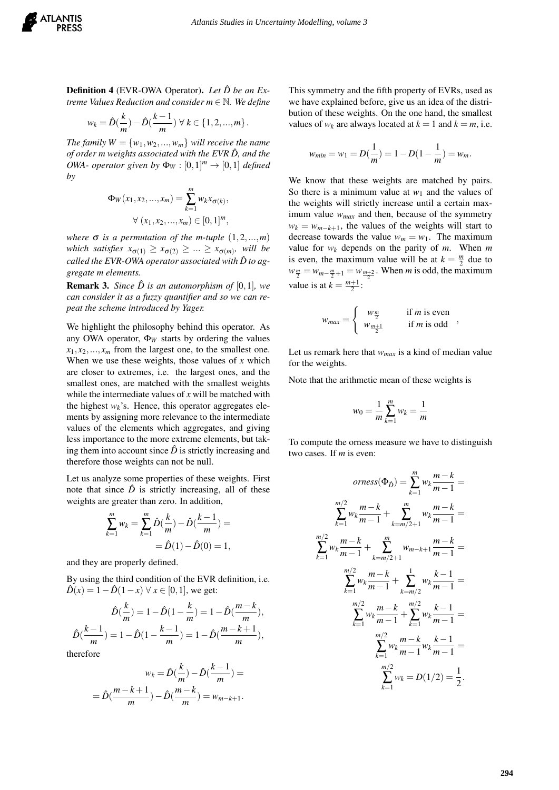**Definition 4** (EVR-OWA Operator). Let  $\hat{D}$  be an Ex*treme Values Reduction and consider m* ∈ N*. We define*

$$
w_k = \hat{D}\left(\frac{k}{m}\right) - \hat{D}\left(\frac{k-1}{m}\right) \,\forall \, k \in \{1, 2, ..., m\} \,.
$$

*The family*  $W = \{w_1, w_2, ..., w_m\}$  *will receive the name of order m weights associated with the EVR*  $\hat{D}$ *, and the OWA- operator given by*  $\Phi_W : [0,1]^m \to [0,1]$  *defined by*

$$
\Phi_W(x_1, x_2, ..., x_m) = \sum_{k=1}^m w_k x_{\sigma(k)},
$$
  

$$
\forall (x_1, x_2, ..., x_m) \in [0, 1]^m,
$$

*where*  $\sigma$  *is a permutation of the m-tuple*  $(1, 2, ..., m)$ *which satisfies*  $x_{\sigma(1)} \ge x_{\sigma(2)} \ge \ldots \ge x_{\sigma(m)}$ *, will be called the EVR-OWA operator associated with*  $\hat{D}$  to ag*gregate m elements.*

**Remark 3.** *Since*  $\hat{D}$  *is an automorphism of* [0,1]*, we can consider it as a fuzzy quantifier and so we can repeat the scheme introduced by Yager.*

We highlight the philosophy behind this operator. As any OWA operator,  $\Phi_W$  starts by ordering the values  $x_1, x_2, \ldots, x_m$  from the largest one, to the smallest one. When we use these weights, those values of *x* which are closer to extremes, i.e. the largest ones, and the smallest ones, are matched with the smallest weights while the intermediate values of *x* will be matched with the highest  $w_k$ 's. Hence, this operator aggregates elements by assigning more relevance to the intermediate values of the elements which aggregates, and giving less importance to the more extreme elements, but taking them into account since  $\hat{D}$  is strictly increasing and therefore those weights can not be null.

Let us analyze some properties of these weights. First note that since  $\hat{D}$  is strictly increasing, all of these weights are greater than zero. In addition,

$$
\sum_{k=1}^{m} w_k = \sum_{k=1}^{m} \hat{D}(\frac{k}{m}) - \hat{D}(\frac{k-1}{m}) =
$$
  
=  $\hat{D}(1) - \hat{D}(0) = 1,$ 

and they are properly defined.

By using the third condition of the EVR definition, i.e.  $\hat{D}(x) = 1 - \hat{D}(1-x) \,\forall x \in [0,1],$  we get:

$$
\hat{D}(\frac{k}{m}) = 1 - \hat{D}(1 - \frac{k}{m}) = 1 - \hat{D}(\frac{m-k}{m}),
$$
  

$$
\hat{D}(\frac{k-1}{m}) = 1 - \hat{D}(1 - \frac{k-1}{m}) = 1 - \hat{D}(\frac{m-k+1}{m}),
$$

therefore

$$
w_k = \hat{D}(\frac{k}{m}) - \hat{D}(\frac{k-1}{m}) =
$$
  
=  $\hat{D}(\frac{m-k+1}{m}) - \hat{D}(\frac{m-k}{m}) = w_{m-k+1}.$ 

This symmetry and the fifth property of EVRs, used as we have explained before, give us an idea of the distribution of these weights. On the one hand, the smallest values of  $w_k$  are always located at  $k = 1$  and  $k = m$ , i.e.

$$
w_{min} = w_1 = D(\frac{1}{m}) = 1 - D(1 - \frac{1}{m}) = w_m.
$$

We know that these weights are matched by pairs. So there is a minimum value at  $w_1$  and the values of the weights will strictly increase until a certain maximum value *wmax* and then, because of the symmetry  $w_k = w_{m-k+1}$ , the values of the weights will start to decrease towards the value  $w_m = w_1$ . The maximum value for  $w_k$  depends on the parity of  $m$ . When  $m$ is even, the maximum value will be at  $k = \frac{m}{2}$  due to  $w_{\frac{m}{2}} = w_{m-\frac{m}{2}+1} = w_{\frac{m+2}{2}}$ . When *m* is odd, the maximum value is at  $k = \frac{m+1}{2}$ :

$$
w_{max} = \begin{cases} w_{\frac{m}{2}} & \text{if } m \text{ is even} \\ w_{\frac{m+1}{2}} & \text{if } m \text{ is odd} \end{cases}
$$

Let us remark here that *wmax* is a kind of median value for the weights.

Note that the arithmetic mean of these weights is

$$
w_0 = \frac{1}{m} \sum_{k=1}^{m} w_k = \frac{1}{m}
$$

To compute the orness measure we have to distinguish two cases. If *m* is even:

$$
orness(\Phi_D) = \sum_{k=1}^{m} w_k \frac{m-k}{m-1} =
$$
  

$$
\sum_{k=1}^{m/2} w_k \frac{m-k}{m-1} + \sum_{k=m/2+1}^{m} w_k \frac{m-k}{m-1} =
$$
  

$$
\sum_{k=1}^{m/2} w_k \frac{m-k}{m-1} + \sum_{k=m/2+1}^{m} w_{m-k+1} \frac{m-k}{m-1} =
$$
  

$$
\sum_{k=1}^{m/2} w_k \frac{m-k}{m-1} + \sum_{k=m/2}^{1} w_k \frac{k-1}{m-1} =
$$
  

$$
\sum_{k=1}^{m/2} w_k \frac{m-k}{m-1} + \sum_{k=1}^{m/2} w_k \frac{k-1}{m-1} =
$$
  

$$
\sum_{k=1}^{m/2} w_k \frac{m-k}{m-1} w_k \frac{k-1}{m-1} =
$$
  

$$
\sum_{k=1}^{m/2} w_k = D(1/2) = \frac{1}{2}.
$$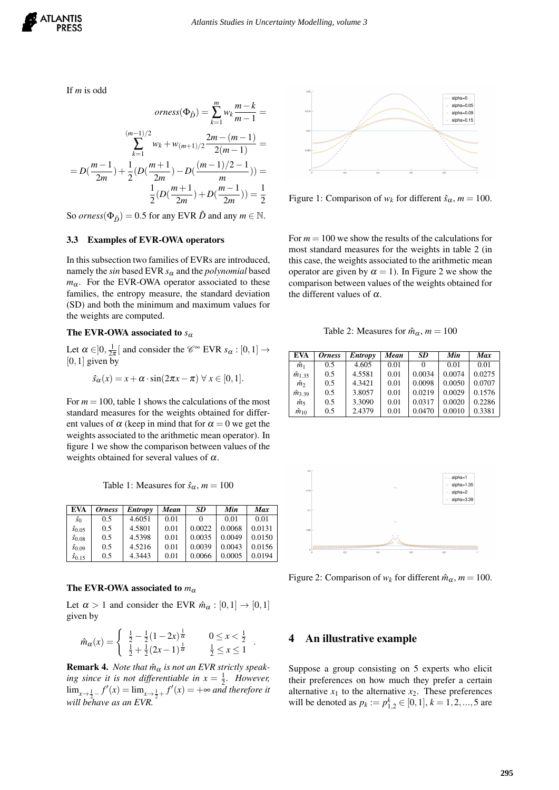If *m* is odd

$$
orness(\Phi_{\hat{D}}) = \sum_{k=1}^{m} w_k \frac{m - n}{m - 1} =
$$

$$
\sum_{k=1}^{(m-1)/2} w_k + w_{(m+1)/2} \frac{2m - (m-1)}{2(m-1)} =
$$

$$
= D(\frac{m-1}{2m}) + \frac{1}{2} (D(\frac{m+1}{2m}) - D(\frac{(m-1)/2 - 1}{m})) =
$$

$$
\frac{1}{2} (D(\frac{m+1}{2m}) + D(\frac{m-1}{2m})) = \frac{1}{2}
$$

*m*

*m*−*k*

So *orness*( $\Phi_{\hat{D}}$ ) = 0.5 for any EVR  $\hat{D}$  and any  $m \in \mathbb{N}$ .

#### 3.3 Examples of EVR-OWA operators

In this subsection two families of EVRs are introduced, namely the *sin* based EVR *s*<sup>α</sup> and the *polynomial* based  $m_{\alpha}$ . For the EVR-OWA operator associated to these families, the entropy measure, the standard deviation (SD) and both the minimum and maximum values for the weights are computed.

### The EVR-OWA associated to  $s_{\alpha}$

Let  $\alpha \in ]0, \frac{1}{2\pi}[$  and consider the  $\mathscr{C}^{\infty}$  EVR  $s_{\alpha} : [0,1] \rightarrow$  $[0,1]$  given by

$$
\hat{s}_{\alpha}(x) = x + \alpha \cdot \sin(2\pi x - \pi) \ \forall \ x \in [0,1].
$$

For  $m = 100$ , table 1 shows the calculations of the most standard measures for the weights obtained for different values of  $\alpha$  (keep in mind that for  $\alpha = 0$  we get the weights associated to the arithmetic mean operator). In figure 1 we show the comparison between values of the weights obtained for several values of  $\alpha$ .

Table 1: Measures for  $\hat{s}_{\alpha}$ ,  $m = 100$ 

| <b>EVA</b>                | <i><b>Orness</b></i> | Entropy | Mean | SD     | Min    | Max    |
|---------------------------|----------------------|---------|------|--------|--------|--------|
| $\hat{s}_0$               | 0.5                  | 4.6051  | 0.01 |        | 0.01   | 0.01   |
| $\hat{s}_{0.05}$          | 0.5                  | 4.5801  | 0.01 | 0.0022 | 0.0068 | 0.0131 |
| $\hat{s}$ <sub>0.08</sub> | 0.5                  | 4.5398  | 0.01 | 0.0035 | 0.0049 | 0.0150 |
| $\hat{s}_{0.09}$          | 0.5                  | 4.5216  | 0.01 | 0.0039 | 0.0043 | 0.0156 |
| $\hat{s}_{0.15}$          | 0.5                  | 4.3443  | 0.01 | 0.0066 | 0.0005 | 0.0194 |

#### The EVR-OWA associated to  $m_{\alpha}$

Let  $\alpha > 1$  and consider the EVR  $\hat{m}_{\alpha} : [0,1] \rightarrow [0,1]$ given by

$$
\hat{m}_{\alpha}(x) = \begin{cases} \frac{1}{2} - \frac{1}{2}(1 - 2x)^{\frac{1}{\alpha}} & 0 \leq x < \frac{1}{2} \\ \frac{1}{2} + \frac{1}{2}(2x - 1)^{\frac{1}{\alpha}} & \frac{1}{2} \leq x \leq 1 \end{cases}.
$$

**Remark 4.** *Note that*  $\hat{m}_{\alpha}$  *is not an EVR strictly speaking since it is not differentiable in*  $x = \frac{1}{2}$ *. However,*  $\lim_{x \to \frac{1}{2}^-} f'(x) = \lim_{x \to \frac{1}{2}^+} f'(x) = +\infty$  and therefore it *will behave as an EVR.*



Figure 1: Comparison of  $w_k$  for different  $\hat{s}_{\alpha}$ ,  $m = 100$ .

For  $m = 100$  we show the results of the calculations for most standard measures for the weights in table 2 (in this case, the weights associated to the arithmetic mean operator are given by  $\alpha = 1$ ). In Figure 2 we show the comparison between values of the weights obtained for the different values of  $\alpha$ .

Table 2: Measures for  $\hat{m}_{\alpha}$ ,  $m = 100$ 

| <b>EVA</b>       | <b>Orness</b> | <b>Entropy</b> | Mean | SD     | Min    | <b>Max</b> |
|------------------|---------------|----------------|------|--------|--------|------------|
| $\hat{m}_1$      | 0.5           | 4.605          | 0.01 |        | 0.01   | 0.01       |
| $\hat{m}_{1,35}$ | 0.5           | 4.5581         | 0.01 | 0.0034 | 0.0074 | 0.0275     |
| m,               | 0.5           | 4.3421         | 0.01 | 0.0098 | 0.0050 | 0.0707     |
| $\hat{m}$ 39     | 0.5           | 3.8057         | 0.01 | 0.0219 | 0.0029 | 0.1576     |
| $\hat{m}_5$      | 0.5           | 3.3090         | 0.01 | 0.0317 | 0.0020 | 0.2286     |
| $\hat{m}_{10}$   | 0.5           | 2.4379         | 0.01 | 0.0470 | 0.0010 | 0.3381     |



Figure 2: Comparison of  $w_k$  for different  $\hat{m}_{\alpha}$ ,  $m = 100$ .

## 4 An illustrative example

Suppose a group consisting on 5 experts who elicit their preferences on how much they prefer a certain alternative  $x_1$  to the alternative  $x_2$ . These preferences will be denoted as  $p_k := p_{1,2}^k \in [0,1], k = 1,2,...,5$  are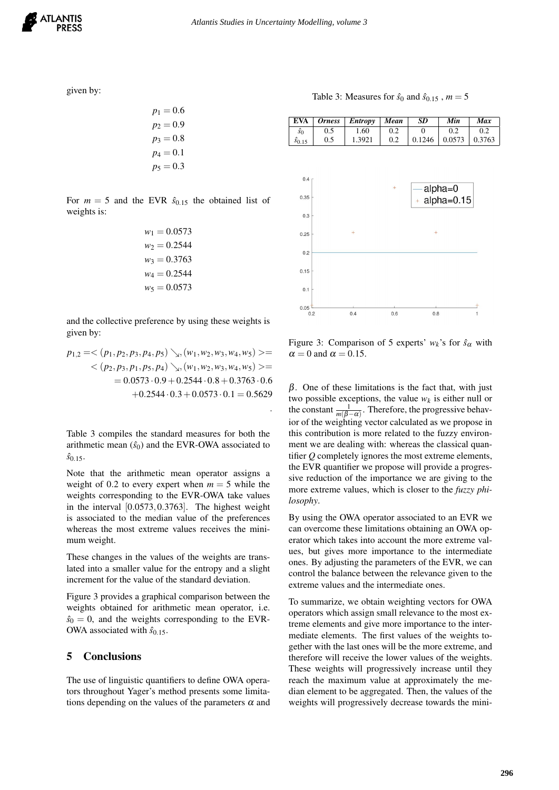

.

given by:

 $p_1 = 0.6$  $p_2 = 0.9$  $p_3 = 0.8$  $p_4 = 0.1$  $p_5 = 0.3$ 

For  $m = 5$  and the EVR  $\hat{s}_{0.15}$  the obtained list of weights is:

$$
w_1 = 0.0573
$$
  
\n
$$
w_2 = 0.2544
$$
  
\n
$$
w_3 = 0.3763
$$
  
\n
$$
w_4 = 0.2544
$$
  
\n
$$
w_5 = 0.0573
$$

and the collective preference by using these weights is given by:

$$
p_{1,2} = \langle (p_1, p_2, p_3, p_4, p_5) \rangle_{\mathcal{S}}, (w_1, w_2, w_3, w_4, w_5) \rangle =
$$
  

$$
\langle (p_2, p_3, p_1, p_5, p_4) \rangle_{\mathcal{S}}, (w_1, w_2, w_3, w_4, w_5) \rangle =
$$
  

$$
= 0.0573 \cdot 0.9 + 0.2544 \cdot 0.8 + 0.3763 \cdot 0.6
$$
  

$$
+ 0.2544 \cdot 0.3 + 0.0573 \cdot 0.1 = 0.5629
$$

Table 3 compiles the standard measures for both the arithmetic mean  $(\hat{s}_0)$  and the EVR-OWA associated to  $\hat{s}_0$ .15.

Note that the arithmetic mean operator assigns a weight of 0.2 to every expert when  $m = 5$  while the weights corresponding to the EVR-OWA take values in the interval [0.0573,0.3763]. The highest weight is associated to the median value of the preferences whereas the most extreme values receives the minimum weight.

These changes in the values of the weights are translated into a smaller value for the entropy and a slight increment for the value of the standard deviation.

Figure 3 provides a graphical comparison between the weights obtained for arithmetic mean operator, i.e.  $\hat{s}_0 = 0$ , and the weights corresponding to the EVR-OWA associated with  $\hat{s}_{0.15}$ .

# 5 Conclusions

The use of linguistic quantifiers to define OWA operators throughout Yager's method presents some limitations depending on the values of the parameters  $\alpha$  and

Table 3: Measures for  $\hat{s}_0$  and  $\hat{s}_{0.15}$ ,  $m = 5$ 

| <b>EVA</b>       | <b>Orness</b> | $\mathbf{Entropy}$ | Mean | SD     | Min    | <b>Max</b> |
|------------------|---------------|--------------------|------|--------|--------|------------|
| $\hat{s}_0$      | 0.5           | 1.60               |      |        | 0.2    | 0.2        |
| $\hat{s}_{0.15}$ | 0.5           | 1.3921             | 0.2  | 0.1246 | 0.0573 | 0.3763     |



Figure 3: Comparison of 5 experts'  $w_k$ 's for  $\hat{s}_{\alpha}$  with  $\alpha = 0$  and  $\alpha = 0.15$ .

 $β$ . One of these limitations is the fact that, with just two possible exceptions, the value  $w_k$  is either null or the constant  $\frac{1}{m(\beta-\alpha)}$ . Therefore, the progressive behavior of the weighting vector calculated as we propose in this contribution is more related to the fuzzy environment we are dealing with: whereas the classical quantifier *Q* completely ignores the most extreme elements, the EVR quantifier we propose will provide a progressive reduction of the importance we are giving to the more extreme values, which is closer to the *fuzzy philosophy*.

By using the OWA operator associated to an EVR we can overcome these limitations obtaining an OWA operator which takes into account the more extreme values, but gives more importance to the intermediate ones. By adjusting the parameters of the EVR, we can control the balance between the relevance given to the extreme values and the intermediate ones.

To summarize, we obtain weighting vectors for OWA operators which assign small relevance to the most extreme elements and give more importance to the intermediate elements. The first values of the weights together with the last ones will be the more extreme, and therefore will receive the lower values of the weights. These weights will progressively increase until they reach the maximum value at approximately the median element to be aggregated. Then, the values of the weights will progressively decrease towards the mini-